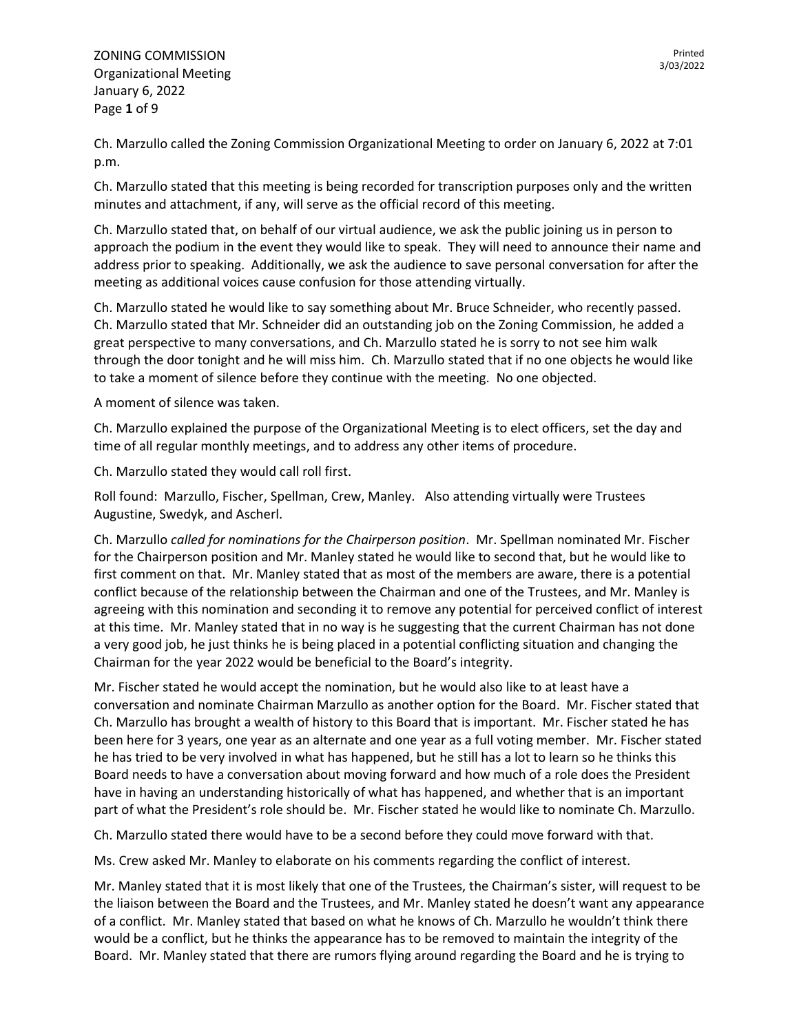ZONING COMMISSION Organizational Meeting January 6, 2022 Page **1** of 9

Ch. Marzullo called the Zoning Commission Organizational Meeting to order on January 6, 2022 at 7:01 p.m.

Ch. Marzullo stated that this meeting is being recorded for transcription purposes only and the written minutes and attachment, if any, will serve as the official record of this meeting.

Ch. Marzullo stated that, on behalf of our virtual audience, we ask the public joining us in person to approach the podium in the event they would like to speak. They will need to announce their name and address prior to speaking. Additionally, we ask the audience to save personal conversation for after the meeting as additional voices cause confusion for those attending virtually.

Ch. Marzullo stated he would like to say something about Mr. Bruce Schneider, who recently passed. Ch. Marzullo stated that Mr. Schneider did an outstanding job on the Zoning Commission, he added a great perspective to many conversations, and Ch. Marzullo stated he is sorry to not see him walk through the door tonight and he will miss him. Ch. Marzullo stated that if no one objects he would like to take a moment of silence before they continue with the meeting. No one objected.

A moment of silence was taken.

Ch. Marzullo explained the purpose of the Organizational Meeting is to elect officers, set the day and time of all regular monthly meetings, and to address any other items of procedure.

Ch. Marzullo stated they would call roll first.

Roll found: Marzullo, Fischer, Spellman, Crew, Manley. Also attending virtually were Trustees Augustine, Swedyk, and Ascherl.

Ch. Marzullo *called for nominations for the Chairperson position*. Mr. Spellman nominated Mr. Fischer for the Chairperson position and Mr. Manley stated he would like to second that, but he would like to first comment on that. Mr. Manley stated that as most of the members are aware, there is a potential conflict because of the relationship between the Chairman and one of the Trustees, and Mr. Manley is agreeing with this nomination and seconding it to remove any potential for perceived conflict of interest at this time. Mr. Manley stated that in no way is he suggesting that the current Chairman has not done a very good job, he just thinks he is being placed in a potential conflicting situation and changing the Chairman for the year 2022 would be beneficial to the Board's integrity.

Mr. Fischer stated he would accept the nomination, but he would also like to at least have a conversation and nominate Chairman Marzullo as another option for the Board. Mr. Fischer stated that Ch. Marzullo has brought a wealth of history to this Board that is important. Mr. Fischer stated he has been here for 3 years, one year as an alternate and one year as a full voting member. Mr. Fischer stated he has tried to be very involved in what has happened, but he still has a lot to learn so he thinks this Board needs to have a conversation about moving forward and how much of a role does the President have in having an understanding historically of what has happened, and whether that is an important part of what the President's role should be. Mr. Fischer stated he would like to nominate Ch. Marzullo.

Ch. Marzullo stated there would have to be a second before they could move forward with that.

Ms. Crew asked Mr. Manley to elaborate on his comments regarding the conflict of interest.

Mr. Manley stated that it is most likely that one of the Trustees, the Chairman's sister, will request to be the liaison between the Board and the Trustees, and Mr. Manley stated he doesn't want any appearance of a conflict. Mr. Manley stated that based on what he knows of Ch. Marzullo he wouldn't think there would be a conflict, but he thinks the appearance has to be removed to maintain the integrity of the Board. Mr. Manley stated that there are rumors flying around regarding the Board and he is trying to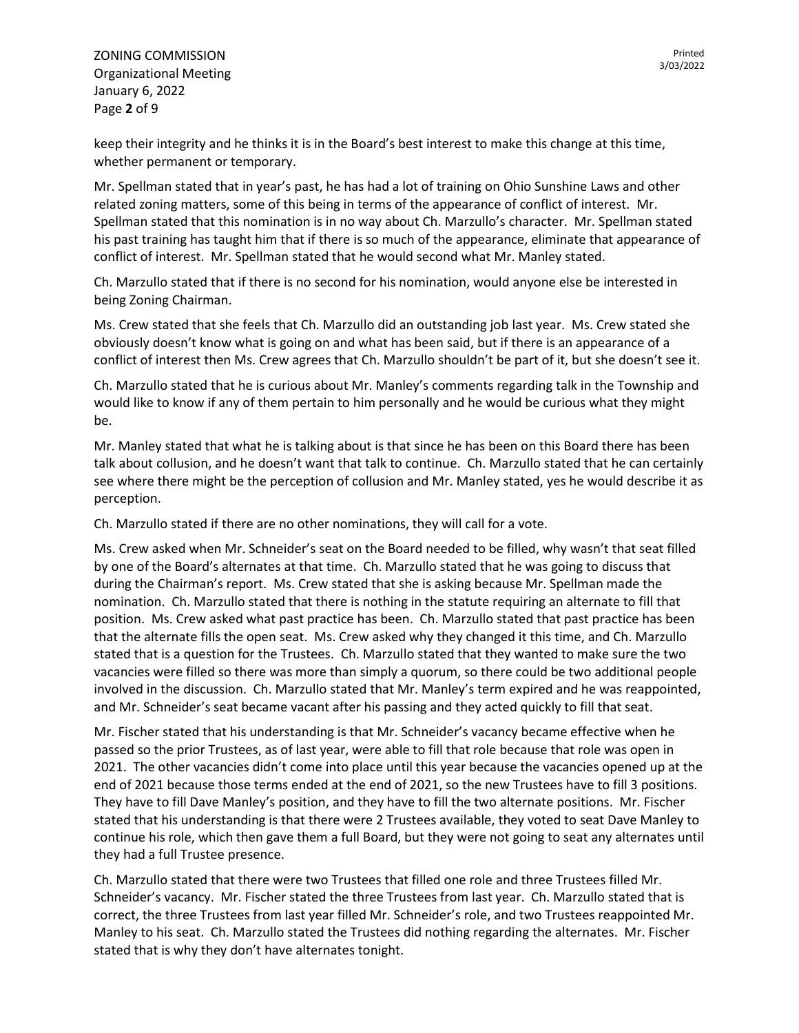ZONING COMMISSION Organizational Meeting January 6, 2022 Page **2** of 9

keep their integrity and he thinks it is in the Board's best interest to make this change at this time, whether permanent or temporary.

Mr. Spellman stated that in year's past, he has had a lot of training on Ohio Sunshine Laws and other related zoning matters, some of this being in terms of the appearance of conflict of interest. Mr. Spellman stated that this nomination is in no way about Ch. Marzullo's character. Mr. Spellman stated his past training has taught him that if there is so much of the appearance, eliminate that appearance of conflict of interest. Mr. Spellman stated that he would second what Mr. Manley stated.

Ch. Marzullo stated that if there is no second for his nomination, would anyone else be interested in being Zoning Chairman.

Ms. Crew stated that she feels that Ch. Marzullo did an outstanding job last year. Ms. Crew stated she obviously doesn't know what is going on and what has been said, but if there is an appearance of a conflict of interest then Ms. Crew agrees that Ch. Marzullo shouldn't be part of it, but she doesn't see it.

Ch. Marzullo stated that he is curious about Mr. Manley's comments regarding talk in the Township and would like to know if any of them pertain to him personally and he would be curious what they might be.

Mr. Manley stated that what he is talking about is that since he has been on this Board there has been talk about collusion, and he doesn't want that talk to continue. Ch. Marzullo stated that he can certainly see where there might be the perception of collusion and Mr. Manley stated, yes he would describe it as perception.

Ch. Marzullo stated if there are no other nominations, they will call for a vote.

Ms. Crew asked when Mr. Schneider's seat on the Board needed to be filled, why wasn't that seat filled by one of the Board's alternates at that time. Ch. Marzullo stated that he was going to discuss that during the Chairman's report. Ms. Crew stated that she is asking because Mr. Spellman made the nomination. Ch. Marzullo stated that there is nothing in the statute requiring an alternate to fill that position. Ms. Crew asked what past practice has been. Ch. Marzullo stated that past practice has been that the alternate fills the open seat. Ms. Crew asked why they changed it this time, and Ch. Marzullo stated that is a question for the Trustees. Ch. Marzullo stated that they wanted to make sure the two vacancies were filled so there was more than simply a quorum, so there could be two additional people involved in the discussion. Ch. Marzullo stated that Mr. Manley's term expired and he was reappointed, and Mr. Schneider's seat became vacant after his passing and they acted quickly to fill that seat.

Mr. Fischer stated that his understanding is that Mr. Schneider's vacancy became effective when he passed so the prior Trustees, as of last year, were able to fill that role because that role was open in 2021. The other vacancies didn't come into place until this year because the vacancies opened up at the end of 2021 because those terms ended at the end of 2021, so the new Trustees have to fill 3 positions. They have to fill Dave Manley's position, and they have to fill the two alternate positions. Mr. Fischer stated that his understanding is that there were 2 Trustees available, they voted to seat Dave Manley to continue his role, which then gave them a full Board, but they were not going to seat any alternates until they had a full Trustee presence.

Ch. Marzullo stated that there were two Trustees that filled one role and three Trustees filled Mr. Schneider's vacancy. Mr. Fischer stated the three Trustees from last year. Ch. Marzullo stated that is correct, the three Trustees from last year filled Mr. Schneider's role, and two Trustees reappointed Mr. Manley to his seat. Ch. Marzullo stated the Trustees did nothing regarding the alternates. Mr. Fischer stated that is why they don't have alternates tonight.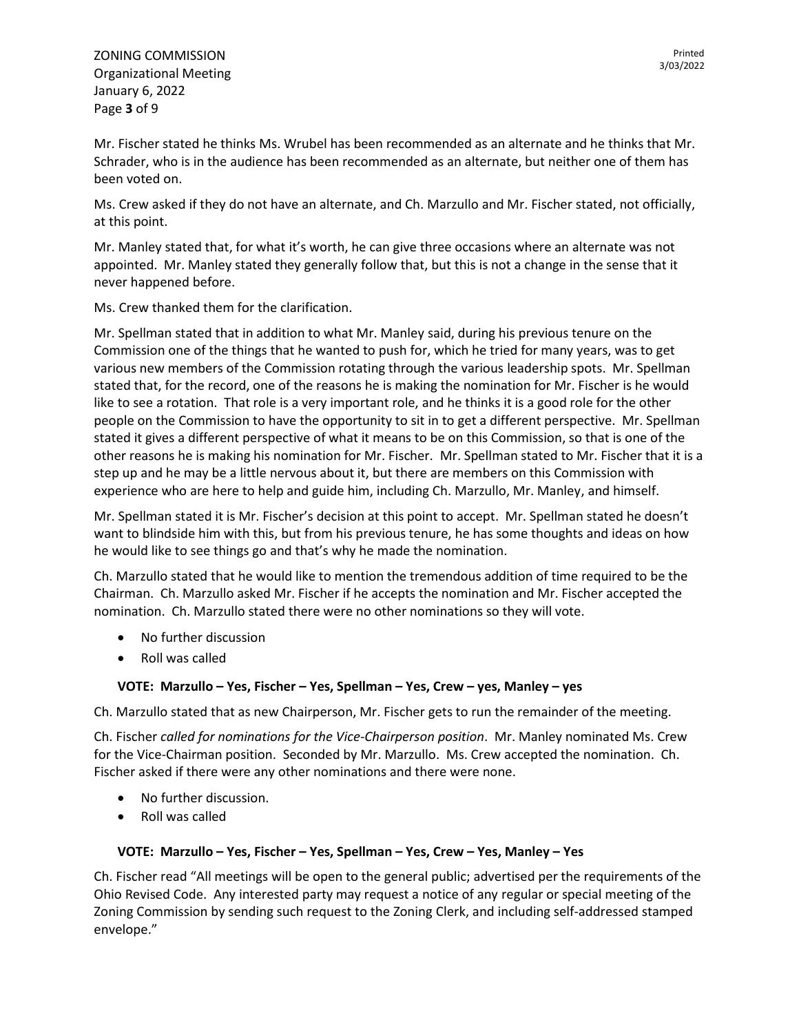Mr. Fischer stated he thinks Ms. Wrubel has been recommended as an alternate and he thinks that Mr. Schrader, who is in the audience has been recommended as an alternate, but neither one of them has been voted on.

Ms. Crew asked if they do not have an alternate, and Ch. Marzullo and Mr. Fischer stated, not officially, at this point.

Mr. Manley stated that, for what it's worth, he can give three occasions where an alternate was not appointed. Mr. Manley stated they generally follow that, but this is not a change in the sense that it never happened before.

Ms. Crew thanked them for the clarification.

Mr. Spellman stated that in addition to what Mr. Manley said, during his previous tenure on the Commission one of the things that he wanted to push for, which he tried for many years, was to get various new members of the Commission rotating through the various leadership spots. Mr. Spellman stated that, for the record, one of the reasons he is making the nomination for Mr. Fischer is he would like to see a rotation. That role is a very important role, and he thinks it is a good role for the other people on the Commission to have the opportunity to sit in to get a different perspective. Mr. Spellman stated it gives a different perspective of what it means to be on this Commission, so that is one of the other reasons he is making his nomination for Mr. Fischer. Mr. Spellman stated to Mr. Fischer that it is a step up and he may be a little nervous about it, but there are members on this Commission with experience who are here to help and guide him, including Ch. Marzullo, Mr. Manley, and himself.

Mr. Spellman stated it is Mr. Fischer's decision at this point to accept. Mr. Spellman stated he doesn't want to blindside him with this, but from his previous tenure, he has some thoughts and ideas on how he would like to see things go and that's why he made the nomination.

Ch. Marzullo stated that he would like to mention the tremendous addition of time required to be the Chairman. Ch. Marzullo asked Mr. Fischer if he accepts the nomination and Mr. Fischer accepted the nomination. Ch. Marzullo stated there were no other nominations so they will vote.

- No further discussion
- Roll was called

## **VOTE: Marzullo – Yes, Fischer – Yes, Spellman – Yes, Crew – yes, Manley – yes**

Ch. Marzullo stated that as new Chairperson, Mr. Fischer gets to run the remainder of the meeting.

Ch. Fischer *called for nominations for the Vice-Chairperson position*. Mr. Manley nominated Ms. Crew for the Vice-Chairman position. Seconded by Mr. Marzullo. Ms. Crew accepted the nomination. Ch. Fischer asked if there were any other nominations and there were none.

- No further discussion.
- Roll was called

## **VOTE: Marzullo – Yes, Fischer – Yes, Spellman – Yes, Crew – Yes, Manley – Yes**

Ch. Fischer read "All meetings will be open to the general public; advertised per the requirements of the Ohio Revised Code. Any interested party may request a notice of any regular or special meeting of the Zoning Commission by sending such request to the Zoning Clerk, and including self-addressed stamped envelope."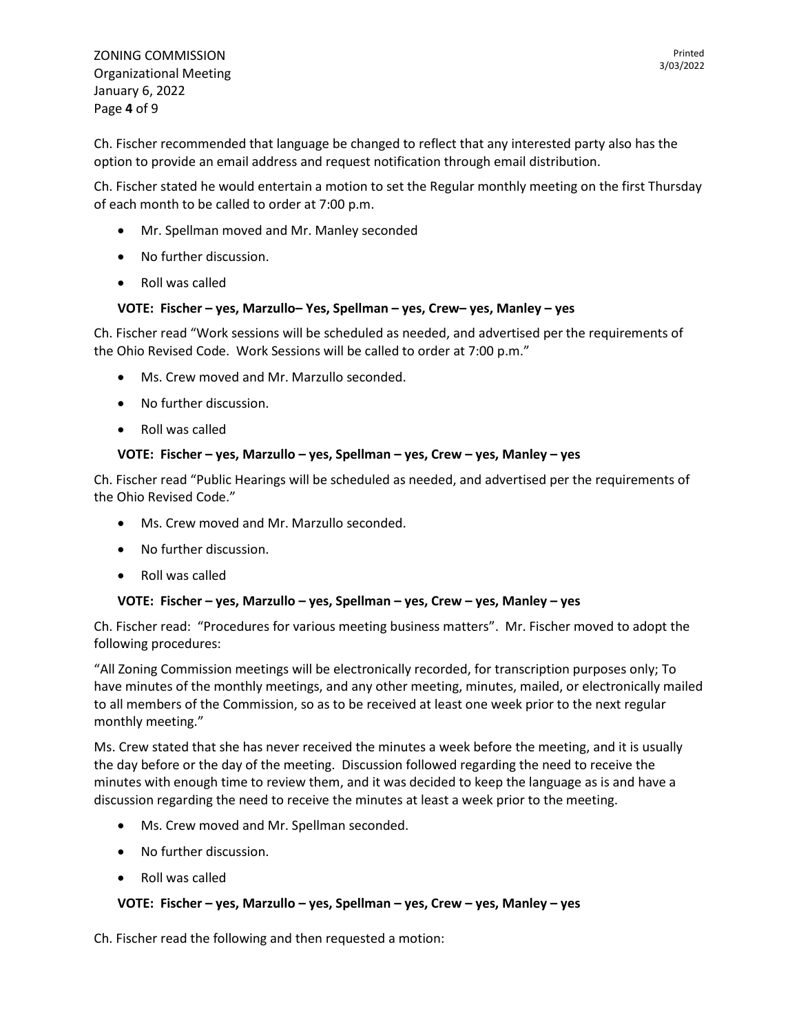Ch. Fischer recommended that language be changed to reflect that any interested party also has the option to provide an email address and request notification through email distribution.

Ch. Fischer stated he would entertain a motion to set the Regular monthly meeting on the first Thursday of each month to be called to order at 7:00 p.m.

- Mr. Spellman moved and Mr. Manley seconded
- No further discussion.
- Roll was called

## **VOTE: Fischer – yes, Marzullo– Yes, Spellman – yes, Crew– yes, Manley – yes**

Ch. Fischer read "Work sessions will be scheduled as needed, and advertised per the requirements of the Ohio Revised Code. Work Sessions will be called to order at 7:00 p.m."

- Ms. Crew moved and Mr. Marzullo seconded.
- No further discussion.
- Roll was called

#### **VOTE: Fischer – yes, Marzullo – yes, Spellman – yes, Crew – yes, Manley – yes**

Ch. Fischer read "Public Hearings will be scheduled as needed, and advertised per the requirements of the Ohio Revised Code."

- Ms. Crew moved and Mr. Marzullo seconded.
- No further discussion.
- Roll was called

#### **VOTE: Fischer – yes, Marzullo – yes, Spellman – yes, Crew – yes, Manley – yes**

Ch. Fischer read: "Procedures for various meeting business matters". Mr. Fischer moved to adopt the following procedures:

"All Zoning Commission meetings will be electronically recorded, for transcription purposes only; To have minutes of the monthly meetings, and any other meeting, minutes, mailed, or electronically mailed to all members of the Commission, so as to be received at least one week prior to the next regular monthly meeting."

Ms. Crew stated that she has never received the minutes a week before the meeting, and it is usually the day before or the day of the meeting. Discussion followed regarding the need to receive the minutes with enough time to review them, and it was decided to keep the language as is and have a discussion regarding the need to receive the minutes at least a week prior to the meeting.

- Ms. Crew moved and Mr. Spellman seconded.
- No further discussion.
- Roll was called

## **VOTE: Fischer – yes, Marzullo – yes, Spellman – yes, Crew – yes, Manley – yes**

Ch. Fischer read the following and then requested a motion: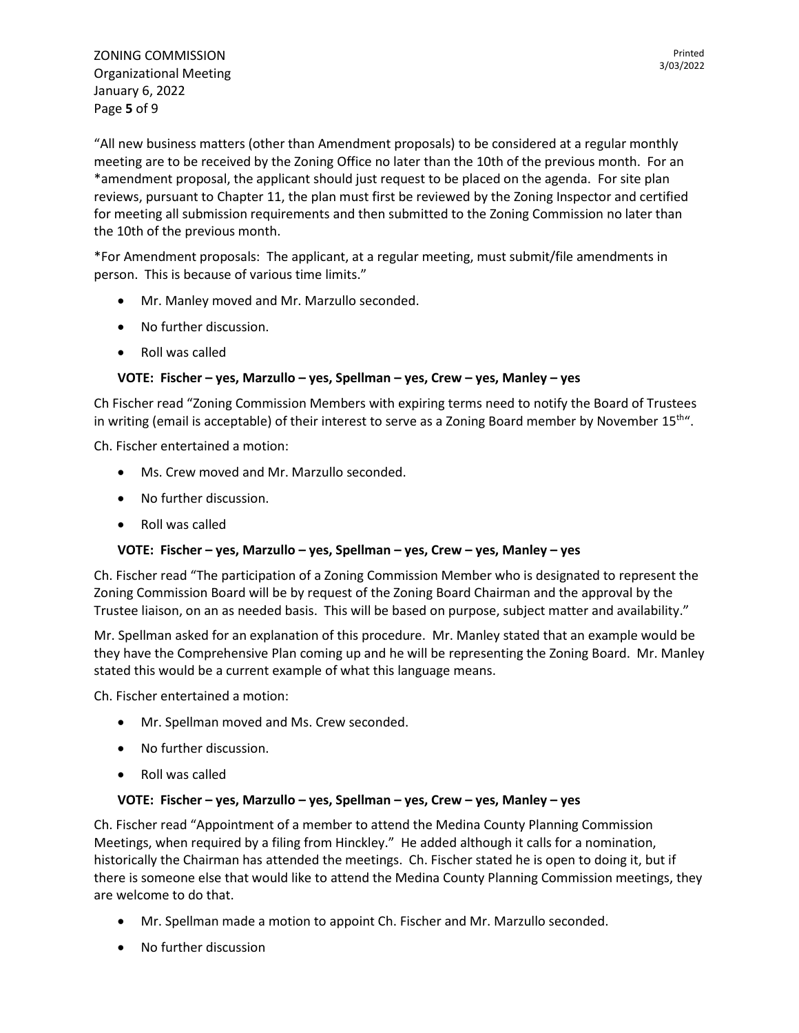"All new business matters (other than Amendment proposals) to be considered at a regular monthly meeting are to be received by the Zoning Office no later than the 10th of the previous month. For an \*amendment proposal, the applicant should just request to be placed on the agenda. For site plan reviews, pursuant to Chapter 11, the plan must first be reviewed by the Zoning Inspector and certified for meeting all submission requirements and then submitted to the Zoning Commission no later than the 10th of the previous month.

\*For Amendment proposals: The applicant, at a regular meeting, must submit/file amendments in person. This is because of various time limits."

- Mr. Manley moved and Mr. Marzullo seconded.
- No further discussion.
- Roll was called

## **VOTE: Fischer – yes, Marzullo – yes, Spellman – yes, Crew – yes, Manley – yes**

Ch Fischer read "Zoning Commission Members with expiring terms need to notify the Board of Trustees in writing (email is acceptable) of their interest to serve as a Zoning Board member by November  $15<sup>th</sup>$ .

Ch. Fischer entertained a motion:

- Ms. Crew moved and Mr. Marzullo seconded.
- No further discussion.
- Roll was called

## **VOTE: Fischer – yes, Marzullo – yes, Spellman – yes, Crew – yes, Manley – yes**

Ch. Fischer read "The participation of a Zoning Commission Member who is designated to represent the Zoning Commission Board will be by request of the Zoning Board Chairman and the approval by the Trustee liaison, on an as needed basis. This will be based on purpose, subject matter and availability."

Mr. Spellman asked for an explanation of this procedure. Mr. Manley stated that an example would be they have the Comprehensive Plan coming up and he will be representing the Zoning Board. Mr. Manley stated this would be a current example of what this language means.

Ch. Fischer entertained a motion:

- Mr. Spellman moved and Ms. Crew seconded.
- No further discussion.
- Roll was called

## **VOTE: Fischer – yes, Marzullo – yes, Spellman – yes, Crew – yes, Manley – yes**

Ch. Fischer read "Appointment of a member to attend the Medina County Planning Commission Meetings, when required by a filing from Hinckley." He added although it calls for a nomination, historically the Chairman has attended the meetings. Ch. Fischer stated he is open to doing it, but if there is someone else that would like to attend the Medina County Planning Commission meetings, they are welcome to do that.

- Mr. Spellman made a motion to appoint Ch. Fischer and Mr. Marzullo seconded.
- No further discussion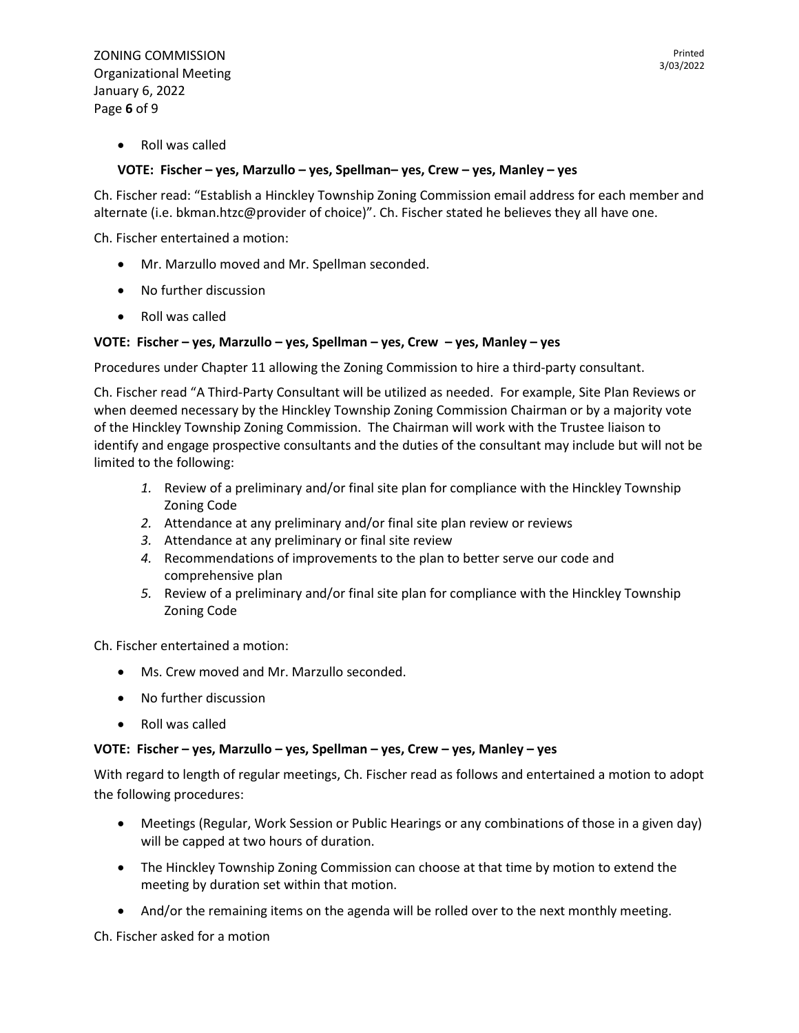ZONING COMMISSION Organizational Meeting January 6, 2022 Page **6** of 9

• Roll was called

#### **VOTE: Fischer – yes, Marzullo – yes, Spellman– yes, Crew – yes, Manley – yes**

Ch. Fischer read: "Establish a Hinckley Township Zoning Commission email address for each member and alternate (i.e. [bkman.htzc@provider](mailto:bkman.htzc@provider) of choice)". Ch. Fischer stated he believes they all have one.

Ch. Fischer entertained a motion:

- Mr. Marzullo moved and Mr. Spellman seconded.
- No further discussion
- Roll was called

#### **VOTE: Fischer – yes, Marzullo – yes, Spellman – yes, Crew – yes, Manley – yes**

Procedures under Chapter 11 allowing the Zoning Commission to hire a third-party consultant.

Ch. Fischer read "A Third-Party Consultant will be utilized as needed. For example, Site Plan Reviews or when deemed necessary by the Hinckley Township Zoning Commission Chairman or by a majority vote of the Hinckley Township Zoning Commission. The Chairman will work with the Trustee liaison to identify and engage prospective consultants and the duties of the consultant may include but will not be limited to the following:

- *1.* Review of a preliminary and/or final site plan for compliance with the Hinckley Township Zoning Code
- *2.* Attendance at any preliminary and/or final site plan review or reviews
- *3.* Attendance at any preliminary or final site review
- *4.* Recommendations of improvements to the plan to better serve our code and comprehensive plan
- *5.* Review of a preliminary and/or final site plan for compliance with the Hinckley Township Zoning Code

Ch. Fischer entertained a motion:

- Ms. Crew moved and Mr. Marzullo seconded.
- No further discussion
- Roll was called

#### **VOTE: Fischer – yes, Marzullo – yes, Spellman – yes, Crew – yes, Manley – yes**

With regard to length of regular meetings, Ch. Fischer read as follows and entertained a motion to adopt the following procedures:

- Meetings (Regular, Work Session or Public Hearings or any combinations of those in a given day) will be capped at two hours of duration.
- The Hinckley Township Zoning Commission can choose at that time by motion to extend the meeting by duration set within that motion.
- And/or the remaining items on the agenda will be rolled over to the next monthly meeting.

Ch. Fischer asked for a motion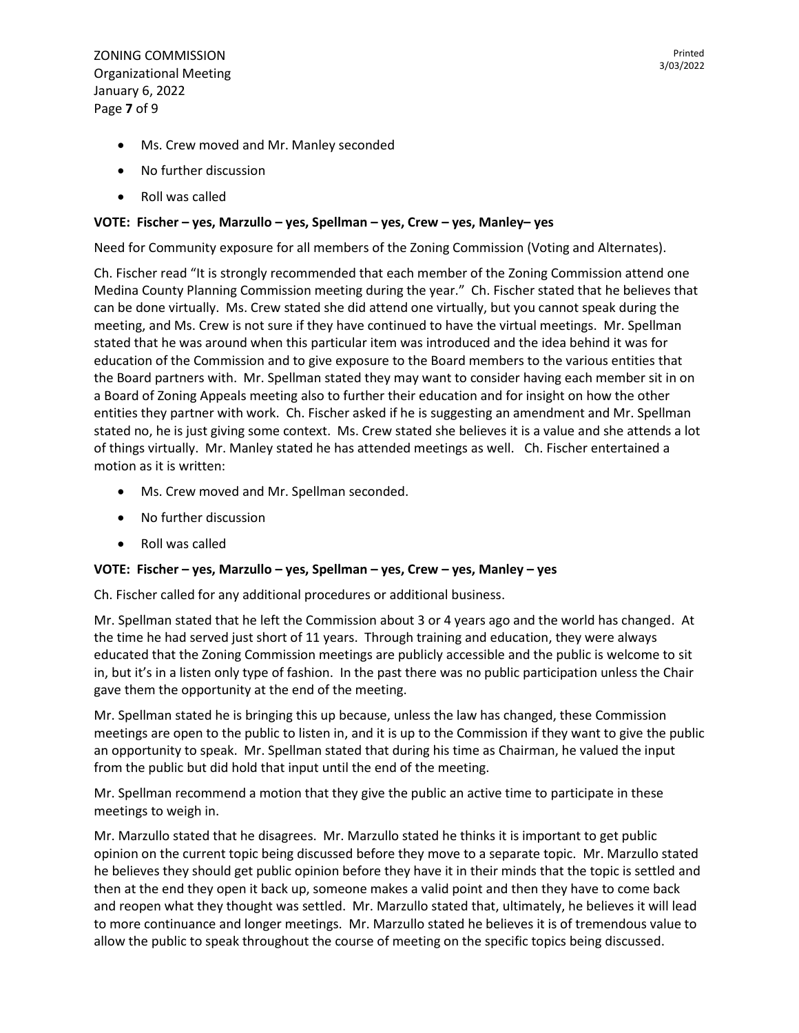ZONING COMMISSION Organizational Meeting January 6, 2022 Page **7** of 9

- No further discussion
- Roll was called

# **VOTE: Fischer – yes, Marzullo – yes, Spellman – yes, Crew – yes, Manley– yes**

Need for Community exposure for all members of the Zoning Commission (Voting and Alternates).

Ch. Fischer read "It is strongly recommended that each member of the Zoning Commission attend one Medina County Planning Commission meeting during the year." Ch. Fischer stated that he believes that can be done virtually. Ms. Crew stated she did attend one virtually, but you cannot speak during the meeting, and Ms. Crew is not sure if they have continued to have the virtual meetings. Mr. Spellman stated that he was around when this particular item was introduced and the idea behind it was for education of the Commission and to give exposure to the Board members to the various entities that the Board partners with. Mr. Spellman stated they may want to consider having each member sit in on a Board of Zoning Appeals meeting also to further their education and for insight on how the other entities they partner with work. Ch. Fischer asked if he is suggesting an amendment and Mr. Spellman stated no, he is just giving some context. Ms. Crew stated she believes it is a value and she attends a lot of things virtually. Mr. Manley stated he has attended meetings as well. Ch. Fischer entertained a motion as it is written:

- Ms. Crew moved and Mr. Spellman seconded.
- No further discussion
- Roll was called

## **VOTE: Fischer – yes, Marzullo – yes, Spellman – yes, Crew – yes, Manley – yes**

Ch. Fischer called for any additional procedures or additional business.

Mr. Spellman stated that he left the Commission about 3 or 4 years ago and the world has changed. At the time he had served just short of 11 years. Through training and education, they were always educated that the Zoning Commission meetings are publicly accessible and the public is welcome to sit in, but it's in a listen only type of fashion. In the past there was no public participation unless the Chair gave them the opportunity at the end of the meeting.

Mr. Spellman stated he is bringing this up because, unless the law has changed, these Commission meetings are open to the public to listen in, and it is up to the Commission if they want to give the public an opportunity to speak. Mr. Spellman stated that during his time as Chairman, he valued the input from the public but did hold that input until the end of the meeting.

Mr. Spellman recommend a motion that they give the public an active time to participate in these meetings to weigh in.

Mr. Marzullo stated that he disagrees. Mr. Marzullo stated he thinks it is important to get public opinion on the current topic being discussed before they move to a separate topic. Mr. Marzullo stated he believes they should get public opinion before they have it in their minds that the topic is settled and then at the end they open it back up, someone makes a valid point and then they have to come back and reopen what they thought was settled. Mr. Marzullo stated that, ultimately, he believes it will lead to more continuance and longer meetings. Mr. Marzullo stated he believes it is of tremendous value to allow the public to speak throughout the course of meeting on the specific topics being discussed.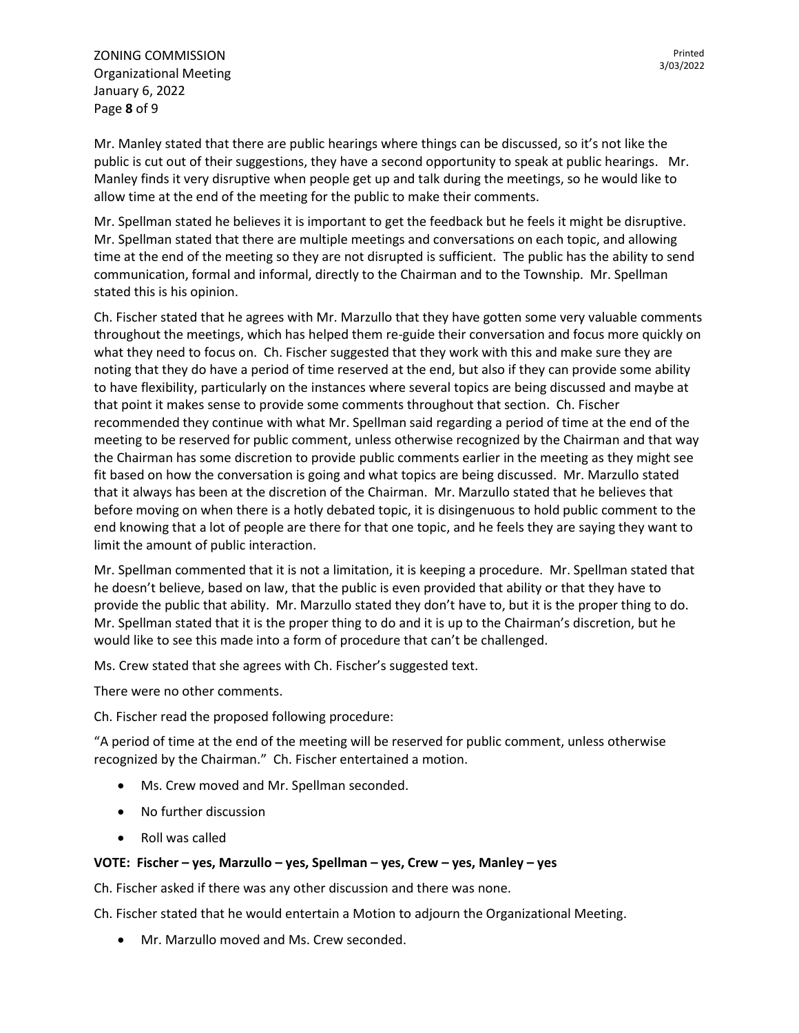ZONING COMMISSION Organizational Meeting January 6, 2022 Page **8** of 9

Mr. Manley stated that there are public hearings where things can be discussed, so it's not like the public is cut out of their suggestions, they have a second opportunity to speak at public hearings. Mr. Manley finds it very disruptive when people get up and talk during the meetings, so he would like to allow time at the end of the meeting for the public to make their comments.

Mr. Spellman stated he believes it is important to get the feedback but he feels it might be disruptive. Mr. Spellman stated that there are multiple meetings and conversations on each topic, and allowing time at the end of the meeting so they are not disrupted is sufficient. The public has the ability to send communication, formal and informal, directly to the Chairman and to the Township. Mr. Spellman stated this is his opinion.

Ch. Fischer stated that he agrees with Mr. Marzullo that they have gotten some very valuable comments throughout the meetings, which has helped them re-guide their conversation and focus more quickly on what they need to focus on. Ch. Fischer suggested that they work with this and make sure they are noting that they do have a period of time reserved at the end, but also if they can provide some ability to have flexibility, particularly on the instances where several topics are being discussed and maybe at that point it makes sense to provide some comments throughout that section. Ch. Fischer recommended they continue with what Mr. Spellman said regarding a period of time at the end of the meeting to be reserved for public comment, unless otherwise recognized by the Chairman and that way the Chairman has some discretion to provide public comments earlier in the meeting as they might see fit based on how the conversation is going and what topics are being discussed. Mr. Marzullo stated that it always has been at the discretion of the Chairman. Mr. Marzullo stated that he believes that before moving on when there is a hotly debated topic, it is disingenuous to hold public comment to the end knowing that a lot of people are there for that one topic, and he feels they are saying they want to limit the amount of public interaction.

Mr. Spellman commented that it is not a limitation, it is keeping a procedure. Mr. Spellman stated that he doesn't believe, based on law, that the public is even provided that ability or that they have to provide the public that ability. Mr. Marzullo stated they don't have to, but it is the proper thing to do. Mr. Spellman stated that it is the proper thing to do and it is up to the Chairman's discretion, but he would like to see this made into a form of procedure that can't be challenged.

Ms. Crew stated that she agrees with Ch. Fischer's suggested text.

There were no other comments.

Ch. Fischer read the proposed following procedure:

"A period of time at the end of the meeting will be reserved for public comment, unless otherwise recognized by the Chairman." Ch. Fischer entertained a motion.

- Ms. Crew moved and Mr. Spellman seconded.
- No further discussion
- Roll was called

## **VOTE: Fischer – yes, Marzullo – yes, Spellman – yes, Crew – yes, Manley – yes**

Ch. Fischer asked if there was any other discussion and there was none.

Ch. Fischer stated that he would entertain a Motion to adjourn the Organizational Meeting.

• Mr. Marzullo moved and Ms. Crew seconded.